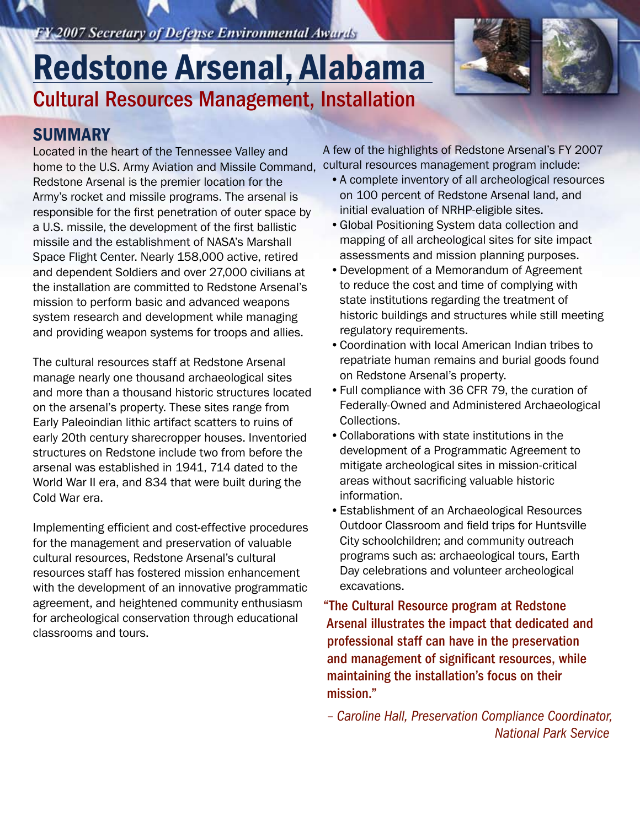FY 2007 Secretary of Defense Environmental Awards

# Cultural Resources Management, Installation Redstone Arsenal, Alabama



#### **SUMMARY**

Located in the heart of the Tennessee Valley and home to the U.S. Army Aviation and Missile Command, Redstone Arsenal is the premier location for the Army's rocket and missile programs. The arsenal is responsible for the first penetration of outer space by a U.S. missile, the development of the first ballistic missile and the establishment of NASA's Marshall Space Flight Center. Nearly 158,000 active, retired and dependent Soldiers and over 27,000 civilians at the installation are committed to Redstone Arsenal's mission to perform basic and advanced weapons system research and development while managing and providing weapon systems for troops and allies.

The cultural resources staff at Redstone Arsenal manage nearly one thousand archaeological sites and more than a thousand historic structures located on the arsenal's property. These sites range from Early Paleoindian lithic artifact scatters to ruins of early 20th century sharecropper houses. Inventoried structures on Redstone include two from before the arsenal was established in 1941, 714 dated to the World War II era, and 834 that were built during the Cold War era.

Implementing efficient and cost-effective procedures for the management and preservation of valuable cultural resources, Redstone Arsenal's cultural resources staff has fostered mission enhancement with the development of an innovative programmatic agreement, and heightened community enthusiasm for archeological conservation through educational classrooms and tours.

A few of the highlights of Redstone Arsenal's FY 2007 cultural resources management program include:

- •A complete inventory of all archeological resources on 100 percent of Redstone Arsenal land, and initial evaluation of NRHP-eligible sites.
- •Global Positioning System data collection and mapping of all archeological sites for site impact assessments and mission planning purposes.
- •Development of a Memorandum of Agreement to reduce the cost and time of complying with state institutions regarding the treatment of historic buildings and structures while still meeting regulatory requirements.
- •Coordination with local American Indian tribes to repatriate human remains and burial goods found on Redstone Arsenal's property.
- •Full compliance with 36 CFR 79, the curation of Federally-Owned and Administered Archaeological Collections.
- •Collaborations with state institutions in the development of a Programmatic Agreement to mitigate archeological sites in mission-critical areas without sacrificing valuable historic information.
- •Establishment of an Archaeological Resources Outdoor Classroom and field trips for Huntsville City schoolchildren; and community outreach programs such as: archaeological tours, Earth Day celebrations and volunteer archeological excavations.

"The Cultural Resource program at Redstone Arsenal illustrates the impact that dedicated and professional staff can have in the preservation and management of significant resources, while maintaining the installation's focus on their mission."

*– Caroline Hall, Preservation Compliance Coordinator, National Park Service*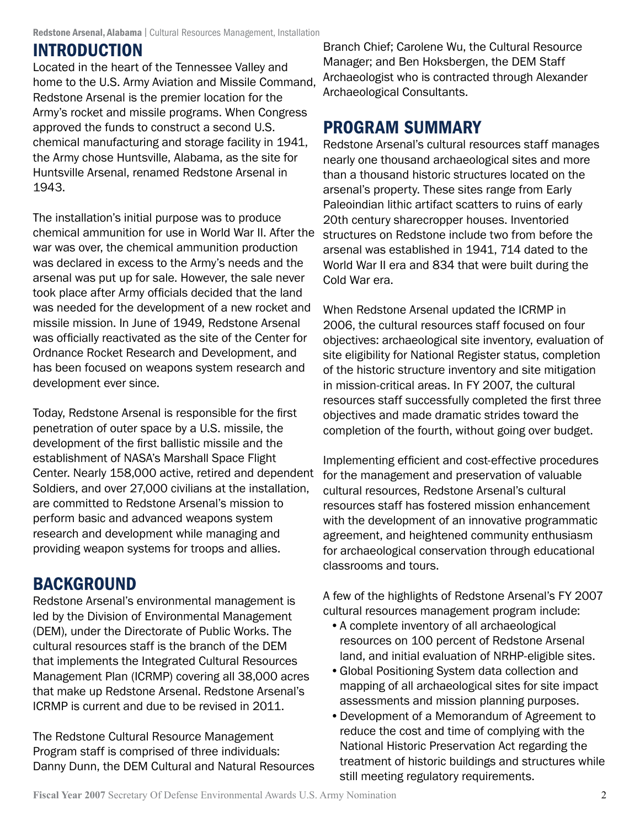# **INTRODUCTION**

Located in the heart of the Tennessee Valley and home to the U.S. Army Aviation and Missile Command, Redstone Arsenal is the premier location for the Army's rocket and missile programs. When Congress approved the funds to construct a second U.S. chemical manufacturing and storage facility in 1941, the Army chose Huntsville, Alabama, as the site for Huntsville Arsenal, renamed Redstone Arsenal in 1943.

The installation's initial purpose was to produce chemical ammunition for use in World War II. After the war was over, the chemical ammunition production was declared in excess to the Army's needs and the arsenal was put up for sale. However, the sale never took place after Army officials decided that the land was needed for the development of a new rocket and missile mission. In June of 1949, Redstone Arsenal was officially reactivated as the site of the Center for Ordnance Rocket Research and Development, and has been focused on weapons system research and development ever since.

Today, Redstone Arsenal is responsible for the first penetration of outer space by a U.S. missile, the development of the first ballistic missile and the establishment of NASA's Marshall Space Flight Center. Nearly 158,000 active, retired and dependent Soldiers, and over 27,000 civilians at the installation, are committed to Redstone Arsenal's mission to perform basic and advanced weapons system research and development while managing and providing weapon systems for troops and allies.

# **BACKGROUND**

Redstone Arsenal's environmental management is led by the Division of Environmental Management (DEM), under the Directorate of Public Works. The cultural resources staff is the branch of the DEM that implements the Integrated Cultural Resources Management Plan (ICRMP) covering all 38,000 acres that make up Redstone Arsenal. Redstone Arsenal's ICRMP is current and due to be revised in 2011.

The Redstone Cultural Resource Management Program staff is comprised of three individuals: Danny Dunn, the DEM Cultural and Natural Resources

Branch Chief; Carolene Wu, the Cultural Resource Manager; and Ben Hoksbergen, the DEM Staff Archaeologist who is contracted through Alexander Archaeological Consultants.

# Program Summary

Redstone Arsenal's cultural resources staff manages nearly one thousand archaeological sites and more than a thousand historic structures located on the arsenal's property. These sites range from Early Paleoindian lithic artifact scatters to ruins of early 20th century sharecropper houses. Inventoried structures on Redstone include two from before the arsenal was established in 1941, 714 dated to the World War II era and 834 that were built during the Cold War era.

When Redstone Arsenal updated the ICRMP in 2006, the cultural resources staff focused on four objectives: archaeological site inventory, evaluation of site eligibility for National Register status, completion of the historic structure inventory and site mitigation in mission-critical areas. In FY 2007, the cultural resources staff successfully completed the first three objectives and made dramatic strides toward the completion of the fourth, without going over budget.

Implementing efficient and cost-effective procedures for the management and preservation of valuable cultural resources, Redstone Arsenal's cultural resources staff has fostered mission enhancement with the development of an innovative programmatic agreement, and heightened community enthusiasm for archaeological conservation through educational classrooms and tours.

A few of the highlights of Redstone Arsenal's FY 2007 cultural resources management program include:

- •A complete inventory of all archaeological resources on 100 percent of Redstone Arsenal land, and initial evaluation of NRHP-eligible sites.
- •Global Positioning System data collection and mapping of all archaeological sites for site impact assessments and mission planning purposes.
- •Development of a Memorandum of Agreement to reduce the cost and time of complying with the National Historic Preservation Act regarding the treatment of historic buildings and structures while still meeting regulatory requirements.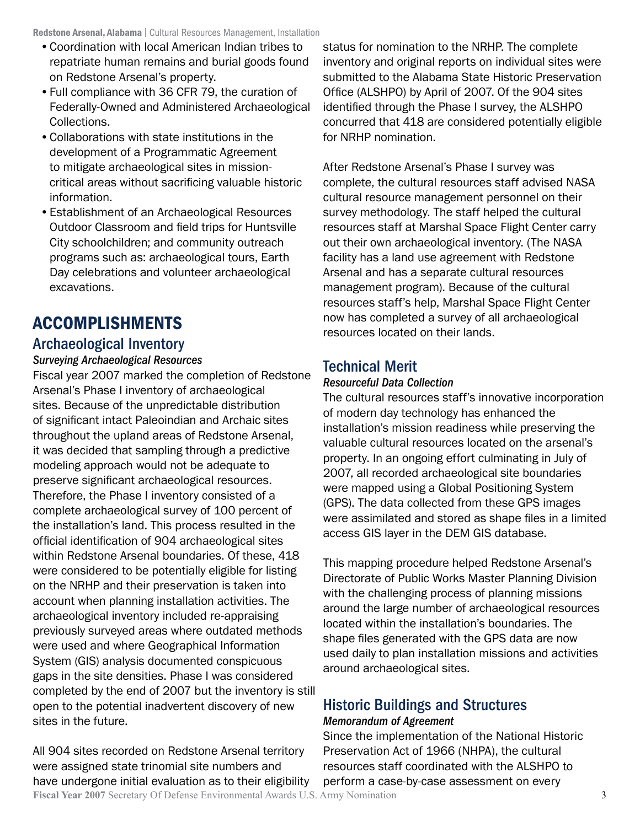- •Coordination with local American Indian tribes to repatriate human remains and burial goods found on Redstone Arsenal's property.
- •Full compliance with 36 CFR 79, the curation of Federally-Owned and Administered Archaeological Collections.
- •Collaborations with state institutions in the development of a Programmatic Agreement to mitigate archaeological sites in missioncritical areas without sacrificing valuable historic information.
- •Establishment of an Archaeological Resources Outdoor Classroom and field trips for Huntsville City schoolchildren; and community outreach programs such as: archaeological tours, Earth Day celebrations and volunteer archaeological excavations.

# Accomplishments

#### Archaeological Inventory

#### *Surveying Archaeological Resources*

Fiscal year 2007 marked the completion of Redstone Arsenal's Phase I inventory of archaeological sites. Because of the unpredictable distribution of significant intact Paleoindian and Archaic sites throughout the upland areas of Redstone Arsenal, it was decided that sampling through a predictive modeling approach would not be adequate to preserve significant archaeological resources. Therefore, the Phase I inventory consisted of a complete archaeological survey of 100 percent of the installation's land. This process resulted in the official identification of 904 archaeological sites within Redstone Arsenal boundaries. Of these, 418 were considered to be potentially eligible for listing on the NRHP and their preservation is taken into account when planning installation activities. The archaeological inventory included re-appraising previously surveyed areas where outdated methods were used and where Geographical Information System (GIS) analysis documented conspicuous gaps in the site densities. Phase I was considered completed by the end of 2007 but the inventory is still open to the potential inadvertent discovery of new sites in the future.

**Fiscal Year 2007** Secretary Of Defense Environmental Awards U.S. Army Nomination 3 All 904 sites recorded on Redstone Arsenal territory were assigned state trinomial site numbers and have undergone initial evaluation as to their eligibility

status for nomination to the NRHP. The complete inventory and original reports on individual sites were submitted to the Alabama State Historic Preservation Office (ALSHPO) by April of 2007. Of the 904 sites identified through the Phase I survey, the ALSHPO concurred that 418 are considered potentially eligible for NRHP nomination.

After Redstone Arsenal's Phase I survey was complete, the cultural resources staff advised NASA cultural resource management personnel on their survey methodology. The staff helped the cultural resources staff at Marshal Space Flight Center carry out their own archaeological inventory. (The NASA facility has a land use agreement with Redstone Arsenal and has a separate cultural resources management program). Because of the cultural resources staff's help, Marshal Space Flight Center now has completed a survey of all archaeological resources located on their lands.

#### Technical Merit

#### *Resourceful Data Collection*

The cultural resources staff's innovative incorporation of modern day technology has enhanced the installation's mission readiness while preserving the valuable cultural resources located on the arsenal's property. In an ongoing effort culminating in July of 2007, all recorded archaeological site boundaries were mapped using a Global Positioning System (GPS). The data collected from these GPS images were assimilated and stored as shape files in a limited access GIS layer in the DEM GIS database.

This mapping procedure helped Redstone Arsenal's Directorate of Public Works Master Planning Division with the challenging process of planning missions around the large number of archaeological resources located within the installation's boundaries. The shape files generated with the GPS data are now used daily to plan installation missions and activities around archaeological sites.

#### Historic Buildings and Structures *Memorandum of Agreement*

Since the implementation of the National Historic Preservation Act of 1966 (NHPA), the cultural resources staff coordinated with the ALSHPO to perform a case-by-case assessment on every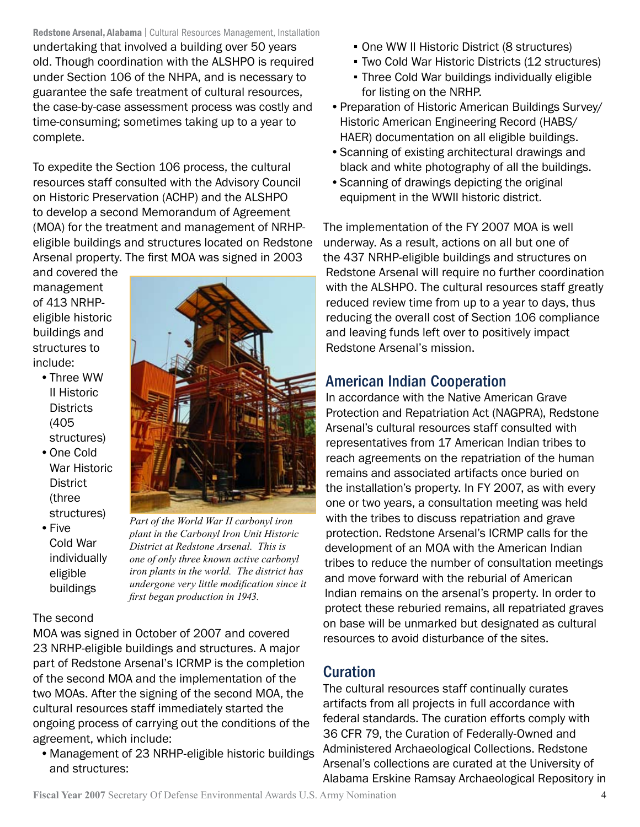Redstone Arsenal, Alabama | Cultural Resources Management, Installation undertaking that involved a building over 50 years old. Though coordination with the ALSHPO is required under Section 106 of the NHPA, and is necessary to guarantee the safe treatment of cultural resources, the case-by-case assessment process was costly and time-consuming; sometimes taking up to a year to complete.

To expedite the Section 106 process, the cultural resources staff consulted with the Advisory Council on Historic Preservation (ACHP) and the ALSHPO to develop a second Memorandum of Agreement (MOA) for the treatment and management of NRHPeligible buildings and structures located on Redstone Arsenal property. The first MOA was signed in 2003

and covered the management of 413 NRHPeligible historic buildings and structures to include:

- •Three WW II Historic **Districts** (405 structures)
- •One Cold War Historic **District** (three structures)
- Five Cold War individually eligible buildings

*Part of the World War II carbonyl iron plant in the Carbonyl Iron Unit Historic District at Redstone Arsenal. This is one of only three known active carbonyl iron plants in the world. The district has undergone very little modification since it first began production in 1943.*

#### The second

MOA was signed in October of 2007 and covered 23 NRHP-eligible buildings and structures. A major part of Redstone Arsenal's ICRMP is the completion of the second MOA and the implementation of the two MOAs. After the signing of the second MOA, the cultural resources staff immediately started the ongoing process of carrying out the conditions of the agreement, which include:

•Management of 23 NRHP-eligible historic buildings and structures:

- One WW II Historic District (8 structures)
- **Two Cold War Historic Districts (12 structures)**
- **Three Cold War buildings individually eligible** for listing on the NRHP.
- •Preparation of Historic American Buildings Survey/ Historic American Engineering Record (HABS/ HAER) documentation on all eligible buildings.
- •Scanning of existing architectural drawings and black and white photography of all the buildings.
- •Scanning of drawings depicting the original equipment in the WWII historic district.

The implementation of the FY 2007 MOA is well underway. As a result, actions on all but one of the 437 NRHP-eligible buildings and structures on Redstone Arsenal will require no further coordination with the ALSHPO. The cultural resources staff greatly reduced review time from up to a year to days, thus reducing the overall cost of Section 106 compliance and leaving funds left over to positively impact Redstone Arsenal's mission.

### American Indian Cooperation

In accordance with the Native American Grave Protection and Repatriation Act (NAGPRA), Redstone Arsenal's cultural resources staff consulted with representatives from 17 American Indian tribes to reach agreements on the repatriation of the human remains and associated artifacts once buried on the installation's property. In FY 2007, as with every one or two years, a consultation meeting was held with the tribes to discuss repatriation and grave protection. Redstone Arsenal's ICRMP calls for the development of an MOA with the American Indian tribes to reduce the number of consultation meetings and move forward with the reburial of American Indian remains on the arsenal's property. In order to protect these reburied remains, all repatriated graves on base will be unmarked but designated as cultural resources to avoid disturbance of the sites.

### **Curation**

The cultural resources staff continually curates artifacts from all projects in full accordance with federal standards. The curation efforts comply with 36 CFR 79, the Curation of Federally-Owned and Administered Archaeological Collections. Redstone Arsenal's collections are curated at the University of Alabama Erskine Ramsay Archaeological Repository in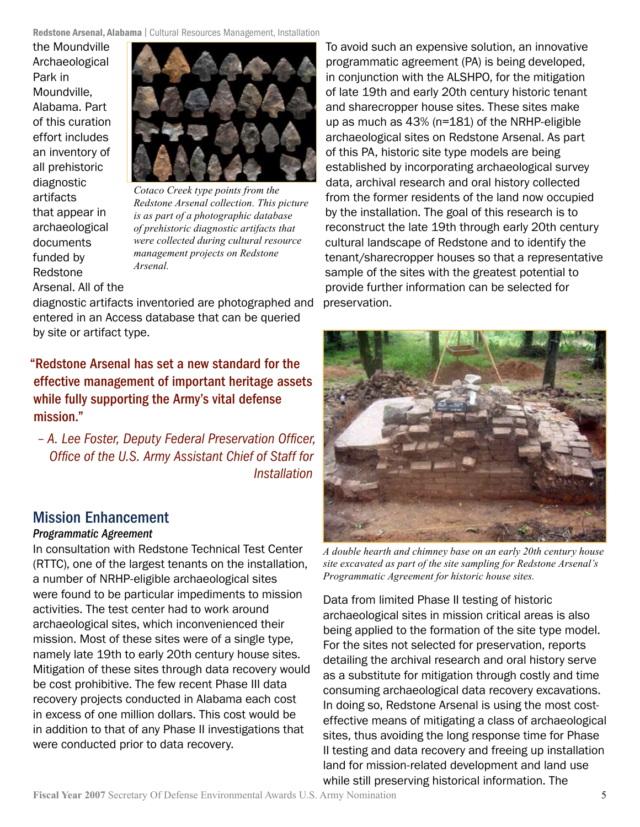the Moundville Archaeological Park in Moundville, Alabama. Part of this curation effort includes an inventory of all prehistoric diagnostic artifacts that appear in archaeological documents funded by Redstone Arsenal. All of the



*Cotaco Creek type points from the Redstone Arsenal collection. This picture is as part of a photographic database of prehistoric diagnostic artifacts that were collected during cultural resource management projects on Redstone Arsenal.*

diagnostic artifacts inventoried are photographed and entered in an Access database that can be queried by site or artifact type.

"Redstone Arsenal has set a new standard for the effective management of important heritage assets while fully supporting the Army's vital defense mission."

*– A. Lee Foster, Deputy Federal Preservation Officer, Office of the U.S. Army Assistant Chief of Staff for Installation* 

### Mission Enhancement

#### *Programmatic Agreement*

In consultation with Redstone Technical Test Center (RTTC), one of the largest tenants on the installation, a number of NRHP-eligible archaeological sites were found to be particular impediments to mission activities. The test center had to work around archaeological sites, which inconvenienced their mission. Most of these sites were of a single type, namely late 19th to early 20th century house sites. Mitigation of these sites through data recovery would be cost prohibitive. The few recent Phase III data recovery projects conducted in Alabama each cost in excess of one million dollars. This cost would be in addition to that of any Phase II investigations that were conducted prior to data recovery.

To avoid such an expensive solution, an innovative programmatic agreement (PA) is being developed, in conjunction with the ALSHPO, for the mitigation of late 19th and early 20th century historic tenant and sharecropper house sites. These sites make up as much as 43% (n=181) of the NRHP-eligible archaeological sites on Redstone Arsenal. As part of this PA, historic site type models are being established by incorporating archaeological survey data, archival research and oral history collected from the former residents of the land now occupied by the installation. The goal of this research is to reconstruct the late 19th through early 20th century cultural landscape of Redstone and to identify the tenant/sharecropper houses so that a representative sample of the sites with the greatest potential to provide further information can be selected for preservation.



*A double hearth and chimney base on an early 20th century house site excavated as part of the site sampling for Redstone Arsenal's Programmatic Agreement for historic house sites.*

Data from limited Phase II testing of historic archaeological sites in mission critical areas is also being applied to the formation of the site type model. For the sites not selected for preservation, reports detailing the archival research and oral history serve as a substitute for mitigation through costly and time consuming archaeological data recovery excavations. In doing so, Redstone Arsenal is using the most costeffective means of mitigating a class of archaeological sites, thus avoiding the long response time for Phase II testing and data recovery and freeing up installation land for mission-related development and land use while still preserving historical information. The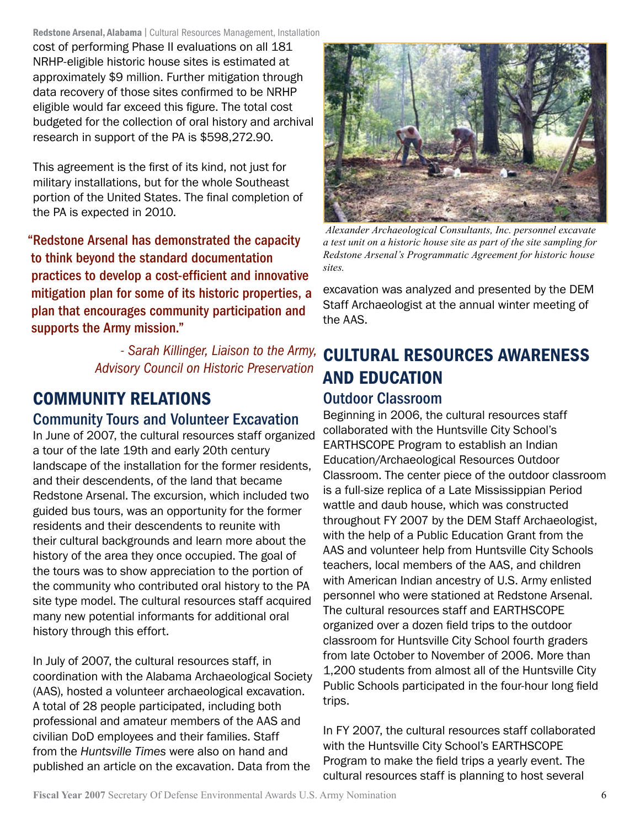Redstone Arsenal, Alabama | Cultural Resources Management, Installation

cost of performing Phase II evaluations on all 181 NRHP-eligible historic house sites is estimated at approximately \$9 million. Further mitigation through data recovery of those sites confirmed to be NRHP eligible would far exceed this figure. The total cost budgeted for the collection of oral history and archival research in support of the PA is \$598,272.90.

This agreement is the first of its kind, not just for military installations, but for the whole Southeast portion of the United States. The final completion of the PA is expected in 2010.

"Redstone Arsenal has demonstrated the capacity to think beyond the standard documentation practices to develop a cost-efficient and innovative mitigation plan for some of its historic properties, a plan that encourages community participation and supports the Army mission."

> *- Sarah Killinger, Liaison to the Army, Advisory Council on Historic Preservation*

# Community Relations

#### Community Tours and Volunteer Excavation

In June of 2007, the cultural resources staff organized a tour of the late 19th and early 20th century landscape of the installation for the former residents, and their descendents, of the land that became Redstone Arsenal. The excursion, which included two guided bus tours, was an opportunity for the former residents and their descendents to reunite with their cultural backgrounds and learn more about the history of the area they once occupied. The goal of the tours was to show appreciation to the portion of the community who contributed oral history to the PA site type model. The cultural resources staff acquired many new potential informants for additional oral history through this effort.

In July of 2007, the cultural resources staff, in coordination with the Alabama Archaeological Society (AAS), hosted a volunteer archaeological excavation. A total of 28 people participated, including both professional and amateur members of the AAS and civilian DoD employees and their families. Staff from the *Huntsville Times* were also on hand and published an article on the excavation. Data from the



 *Alexander Archaeological Consultants, Inc. personnel excavate a test unit on a historic house site as part of the site sampling for Redstone Arsenal's Programmatic Agreement for historic house sites.*

excavation was analyzed and presented by the DEM Staff Archaeologist at the annual winter meeting of the AAS.

# Cultural Resources Awareness and Education

#### Outdoor Classroom

Beginning in 2006, the cultural resources staff collaborated with the Huntsville City School's EARTHSCOPE Program to establish an Indian Education/Archaeological Resources Outdoor Classroom. The center piece of the outdoor classroom is a full-size replica of a Late Mississippian Period wattle and daub house, which was constructed throughout FY 2007 by the DEM Staff Archaeologist, with the help of a Public Education Grant from the AAS and volunteer help from Huntsville City Schools teachers, local members of the AAS, and children with American Indian ancestry of U.S. Army enlisted personnel who were stationed at Redstone Arsenal. The cultural resources staff and EARTHSCOPE organized over a dozen field trips to the outdoor classroom for Huntsville City School fourth graders from late October to November of 2006. More than 1,200 students from almost all of the Huntsville City Public Schools participated in the four-hour long field trips.

In FY 2007, the cultural resources staff collaborated with the Huntsville City School's EARTHSCOPE Program to make the field trips a yearly event. The cultural resources staff is planning to host several